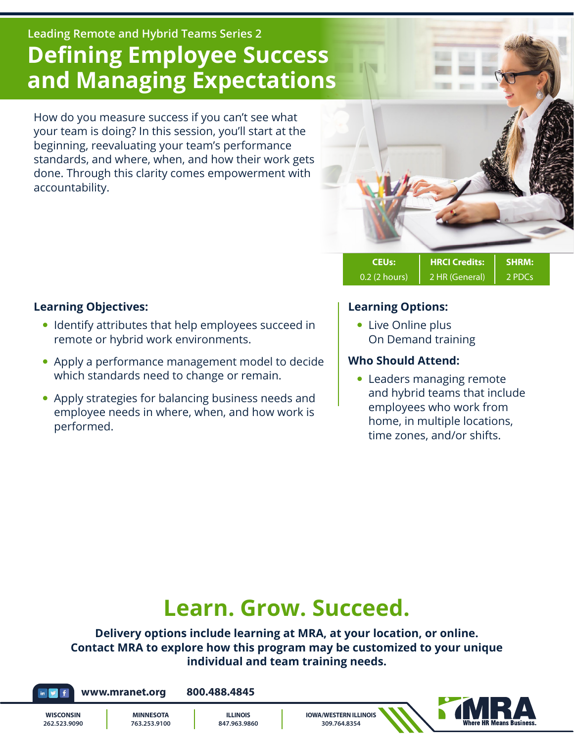## **Leading Remote and Hybrid Teams Series 2 Defining Employee Success and Managing Expectations**

How do you measure success if you can't see what your team is doing? In this session, you'll start at the beginning, reevaluating your team's performance standards, and where, when, and how their work gets done. Through this clarity comes empowerment with accountability.



0.2 (2 hours) | 2 HR (General) | 2 PDCs

#### **Learning Objectives:**

- Identify attributes that help employees succeed in remote or hybrid work environments.
- Apply a performance management model to decide which standards need to change or remain.
- Apply strategies for balancing business needs and employee needs in where, when, and how work is performed.

#### **Learning Options:**

• Live Online plus On Demand training

#### **Who Should Attend:**

• Leaders managing remote and hybrid teams that include employees who work from home, in multiple locations, time zones, and/or shifts.

# **Learn. Grow. Succeed.**

**Delivery options include learning at MRA, at your location, or online. Contact MRA to explore how this program may be customized to your unique individual and team training needs.**

**www.mranet.org 800.488.4845**

**WISCONSIN 262.523.9090**

**MINNESOTA 763.253.9100**



**IOWA/WESTERN ILLINOIS 309.764.8354**